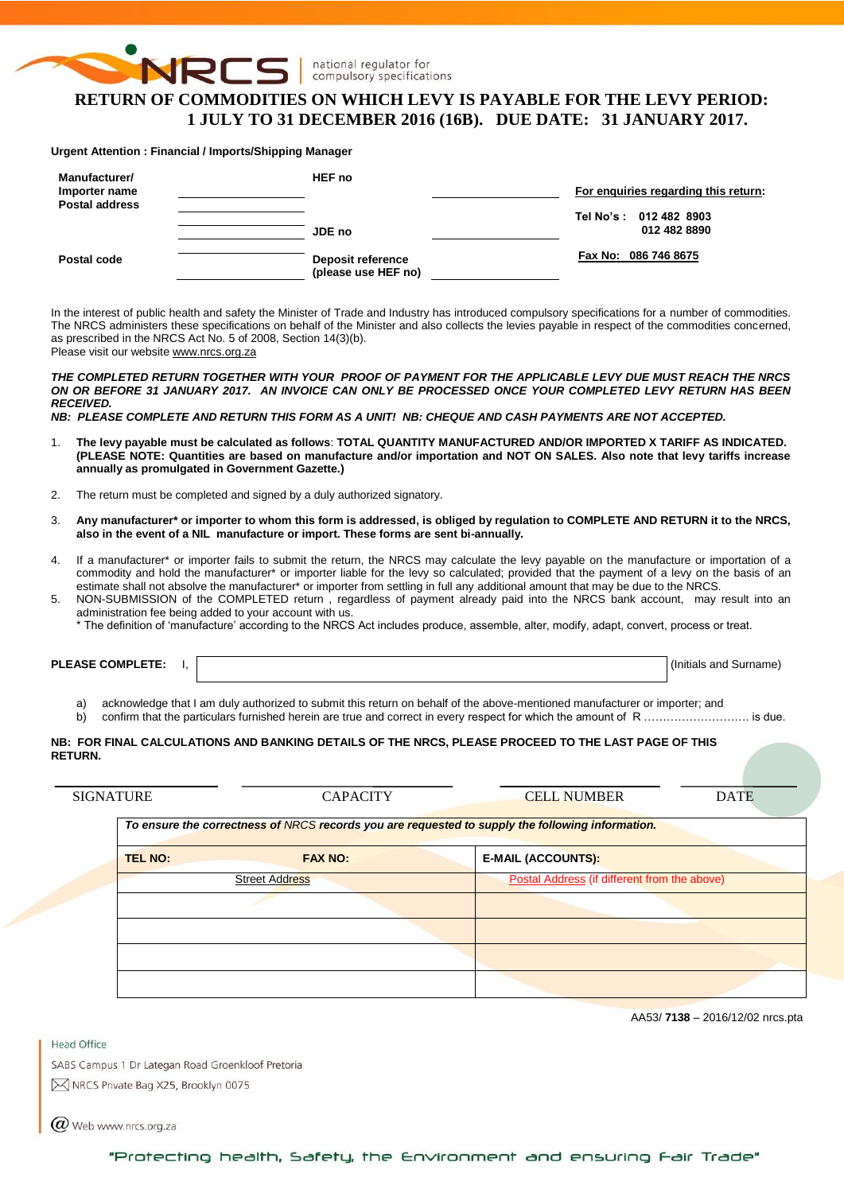

national regulator for compulsory specifications

# **RETURN OF COMMODITIES ON WHICH LEVY IS PAYABLE FOR THE LEVY PERIOD: 1 JULY TO 31 DECEMBER 2016 (16B). DUE DATE: 31 JANUARY 2017.**

### **Urgent Attention : Financial / Imports/Shipping Manager**

| Manufacturer/<br>Importer name<br>Postal address | HEF no                                          | For enquiries regarding this return:   |
|--------------------------------------------------|-------------------------------------------------|----------------------------------------|
|                                                  | JDE no                                          | Tel No's: 012 482 8903<br>012 482 8890 |
| Postal code                                      | <b>Deposit reference</b><br>(please use HEF no) | Fax No: 086 746 8675                   |

In the interest of public health and safety the Minister of Trade and Industry has introduced compulsory specifications for a number of commodities. The NRCS administers these specifications on behalf of the Minister and also collects the levies payable in respect of the commodities concerned, as prescribed in the NRCS Act No. 5 of 2008, Section 14(3)(b). Please visit our website [www.nrcs.org.za](http://www.nrcs.org.za/)

*THE COMPLETED RETURN TOGETHER WITH YOUR PROOF OF PAYMENT FOR THE APPLICABLE LEVY DUE MUST REACH THE NRCS ON OR BEFORE 31 JANUARY 2017. AN INVOICE CAN ONLY BE PROCESSED ONCE YOUR COMPLETED LEVY RETURN HAS BEEN RECEIVED.* 

*NB: PLEASE COMPLETE AND RETURN THIS FORM AS A UNIT! NB: CHEQUE AND CASH PAYMENTS ARE NOT ACCEPTED.*

- 1. **The levy payable must be calculated as follows**: **TOTAL QUANTITY MANUFACTURED AND/OR IMPORTED X TARIFF AS INDICATED. (PLEASE NOTE: Quantities are based on manufacture and/or importation and NOT ON SALES. Also note that levy tariffs increase annually as promulgated in Government Gazette.)**
- 2. The return must be completed and signed by a duly authorized signatory.
- 3. **Any manufacturer\* or importer to whom this form is addressed, is obliged by regulation to COMPLETE AND RETURN it to the NRCS, also in the event of a NIL manufacture or import. These forms are sent bi-annually.**
- 4. If a manufacturer\* or importer fails to submit the return, the NRCS may calculate the levy payable on the manufacture or importation of a commodity and hold the manufacturer\* or importer liable for the levy so calculated; provided that the payment of a levy on the basis of an estimate shall not absolve the manufacturer\* or importer from settling in full any additional amount that may be due to the NRCS.
- 5. NON-SUBMISSION of the COMPLETED return , regardless of payment already paid into the NRCS bank account, may result into an administration fee being added to your account with us.
	- \* The definition of 'manufacture' according to the NRCS Act includes produce, assemble, alter, modify, adapt, convert, process or treat.

**PLEASE COMPLETE:** I,  $\vert$ 

a) acknowledge that I am duly authorized to submit this return on behalf of the above-mentioned manufacturer or importer; and<br>b) confirm that the particulars furnished herein are true and correct in every respect for which

confirm that the particulars furnished herein are true and correct in every respect for which the amount of R …………………………… is due.

#### **NB: FOR FINAL CALCULATIONS AND BANKING DETAILS OF THE NRCS, PLEASE PROCEED TO THE LAST PAGE OF THIS RETURN.**

| <b>SIGNATURE</b> | <b>CAPACITY</b>       | <b>CELL NUMBER</b>                                                                               | <b>DATE</b> |
|------------------|-----------------------|--------------------------------------------------------------------------------------------------|-------------|
|                  |                       | To ensure the correctness of NRCS records you are requested to supply the following information. |             |
| <b>TEL NO:</b>   | <b>FAX NO:</b>        | <b>E-MAIL (ACCOUNTS):</b>                                                                        |             |
|                  | <b>Street Address</b> | Postal Address (if different from the above)                                                     |             |
|                  |                       |                                                                                                  |             |
|                  |                       |                                                                                                  |             |
|                  |                       |                                                                                                  |             |
|                  |                       |                                                                                                  |             |

AA53/ **7138** – 2016/12/02 nrcs.pta

**Head Office** 

SABS Campus 1 Dr Lategan Road Groenkloof Pretoria

M NRCS Private Bag X25, Brooklyn 0075

 $(\alpha)$  Web www.nrcs.org.za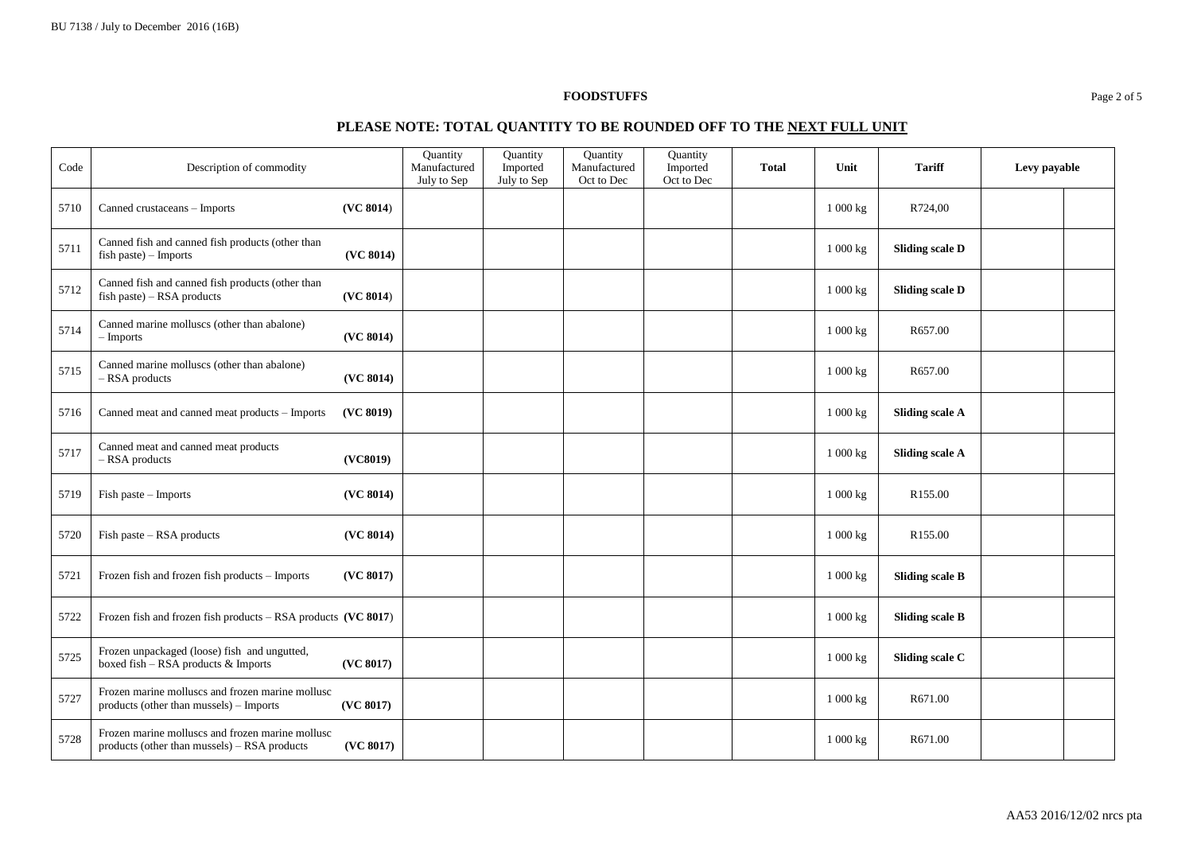# **FOODSTUFFS** Page 2 of 5

# **PLEASE NOTE: TOTAL QUANTITY TO BE ROUNDED OFF TO THE NEXT FULL UNIT**

| Code | Description of commodity                                                                         |           | Quantity<br>Manufactured<br>July to Sep | Quantity<br>Imported<br>July to Sep | Quantity<br>Manufactured<br>Oct to Dec | Quantity<br>Imported<br>Oct to Dec | <b>Total</b> | Unit                  | <b>Tariff</b>          | Levy payable |  |
|------|--------------------------------------------------------------------------------------------------|-----------|-----------------------------------------|-------------------------------------|----------------------------------------|------------------------------------|--------------|-----------------------|------------------------|--------------|--|
| 5710 | Canned crustaceans - Imports                                                                     | (VC 8014) |                                         |                                     |                                        |                                    |              | 1000 kg               | R724,00                |              |  |
| 5711 | Canned fish and canned fish products (other than<br>fish paste) - Imports                        | (VC 8014) |                                         |                                     |                                        |                                    |              | 1000 kg               | <b>Sliding scale D</b> |              |  |
| 5712 | Canned fish and canned fish products (other than<br>$fish$ paste) – RSA products                 | (VC 8014) |                                         |                                     |                                        |                                    |              | 1 000 kg              | <b>Sliding scale D</b> |              |  |
| 5714 | Canned marine molluscs (other than abalone)<br>$-$ Imports                                       | (VC 8014) |                                         |                                     |                                        |                                    |              | 1000 kg               | R657.00                |              |  |
| 5715 | Canned marine molluscs (other than abalone)<br>- RSA products                                    | (VC 8014) |                                         |                                     |                                        |                                    |              | 1 000 kg              | R657.00                |              |  |
| 5716 | Canned meat and canned meat products - Imports                                                   | (VC 8019) |                                         |                                     |                                        |                                    |              | 1 000 kg              | <b>Sliding scale A</b> |              |  |
| 5717 | Canned meat and canned meat products<br>- RSA products                                           | (VC8019)  |                                         |                                     |                                        |                                    |              | $1\ 000\ \mathrm{kg}$ | <b>Sliding scale A</b> |              |  |
| 5719 | $Fish$ paste $-$ Imports                                                                         | (VC 8014) |                                         |                                     |                                        |                                    |              | 1000 kg               | R155.00                |              |  |
| 5720 | Fish paste - RSA products                                                                        | (VC 8014) |                                         |                                     |                                        |                                    |              | 1 000 kg              | R155.00                |              |  |
| 5721 | Frozen fish and frozen fish products - Imports                                                   | (VC 8017) |                                         |                                     |                                        |                                    |              | 1 000 kg              | <b>Sliding scale B</b> |              |  |
| 5722 | Frozen fish and frozen fish products - RSA products (VC 8017)                                    |           |                                         |                                     |                                        |                                    |              | 1 000 kg              | <b>Sliding scale B</b> |              |  |
| 5725 | Frozen unpackaged (loose) fish and ungutted,<br>boxed fish - RSA products & Imports              | (VC 8017) |                                         |                                     |                                        |                                    |              | 1 000 kg              | Sliding scale C        |              |  |
| 5727 | Frozen marine molluscs and frozen marine mollusc<br>products (other than mussels) - Imports      | (VC 8017) |                                         |                                     |                                        |                                    |              | 1000 kg               | R671.00                |              |  |
| 5728 | Frozen marine molluscs and frozen marine mollusc<br>products (other than mussels) - RSA products | (VC 8017) |                                         |                                     |                                        |                                    |              | 1 000 kg              | R671.00                |              |  |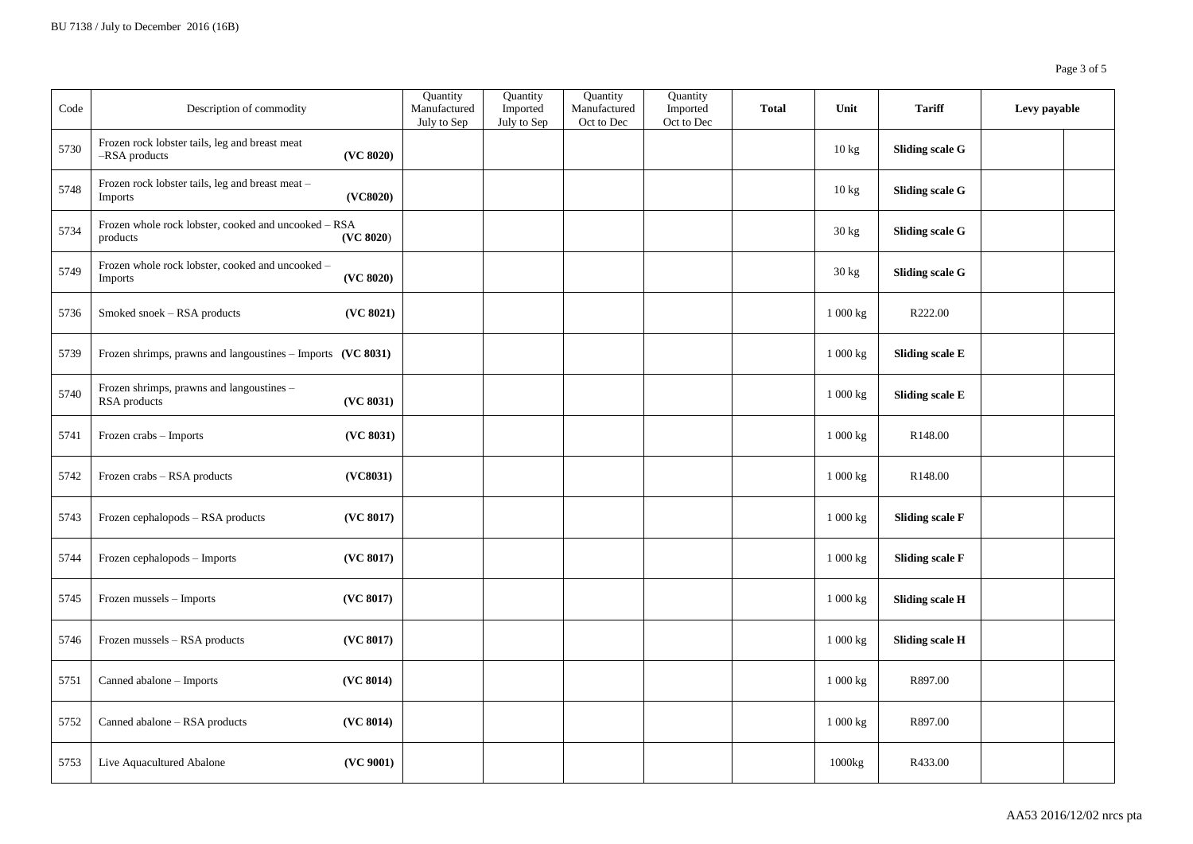| Code | Description of commodity                                         |                               | Quantity<br>Manufactured<br>July to Sep | Quantity<br>Imported<br>July to Sep | Quantity<br>Manufactured<br>Oct to Dec | Quantity<br>Imported<br>Oct to Dec | <b>Total</b> | Unit                | <b>Tariff</b>          | Levy payable |  |
|------|------------------------------------------------------------------|-------------------------------|-----------------------------------------|-------------------------------------|----------------------------------------|------------------------------------|--------------|---------------------|------------------------|--------------|--|
| 5730 | Frozen rock lobster tails, leg and breast meat<br>-RSA products  | (VC 8020)                     |                                         |                                     |                                        |                                    |              | 10 kg               | <b>Sliding scale G</b> |              |  |
| 5748 | Frozen rock lobster tails, leg and breast meat -<br>Imports      | (VC8020)                      |                                         |                                     |                                        |                                    |              | 10 kg               | <b>Sliding scale G</b> |              |  |
| 5734 | Frozen whole rock lobster, cooked and uncooked - RSA<br>products | $(\mathbf{VC}~\mathbf{8020})$ |                                         |                                     |                                        |                                    |              | $30 \text{ kg}$     | <b>Sliding scale G</b> |              |  |
| 5749 | Frozen whole rock lobster, cooked and uncooked -<br>Imports      | (VC 8020)                     |                                         |                                     |                                        |                                    |              | 30 kg               | <b>Sliding scale G</b> |              |  |
| 5736 | Smoked snoek - RSA products                                      | (VC 8021)                     |                                         |                                     |                                        |                                    |              | 1 000 kg            | R222.00                |              |  |
| 5739 | Frozen shrimps, prawns and langoustines - Imports (VC 8031)      |                               |                                         |                                     |                                        |                                    |              | 1 000 kg            | Sliding scale E        |              |  |
| 5740 | Frozen shrimps, prawns and langoustines -<br>RSA products        | (VC 8031)                     |                                         |                                     |                                        |                                    |              | 1 000 kg            | <b>Sliding scale E</b> |              |  |
| 5741 | Frozen crabs - Imports                                           | (VC 8031)                     |                                         |                                     |                                        |                                    |              | 1 000 kg            | R148.00                |              |  |
| 5742 | Frozen crabs - RSA products                                      | (VC8031)                      |                                         |                                     |                                        |                                    |              | 1 000 kg            | R148.00                |              |  |
| 5743 | Frozen cephalopods - RSA products                                | (VC 8017)                     |                                         |                                     |                                        |                                    |              | 1 000 kg            | <b>Sliding scale F</b> |              |  |
| 5744 | Frozen cephalopods - Imports                                     | (VC 8017)                     |                                         |                                     |                                        |                                    |              | 1 000 kg            | <b>Sliding scale F</b> |              |  |
| 5745 | Frozen mussels - Imports                                         | (VC 8017)                     |                                         |                                     |                                        |                                    |              | $1000\,\mathrm{kg}$ | <b>Sliding scale H</b> |              |  |
| 5746 | Frozen mussels - RSA products                                    | (VC 8017)                     |                                         |                                     |                                        |                                    |              | 1 000 kg            | <b>Sliding scale H</b> |              |  |
| 5751 | Canned abalone - Imports                                         | (VC 8014)                     |                                         |                                     |                                        |                                    |              | 1 000 kg            | R897.00                |              |  |
| 5752 | Canned abalone - RSA products                                    | (VC 8014)                     |                                         |                                     |                                        |                                    |              | 1 000 kg            | R897.00                |              |  |
| 5753 | Live Aquacultured Abalone                                        | (VC 9001)                     |                                         |                                     |                                        |                                    |              | 1000kg              | R433.00                |              |  |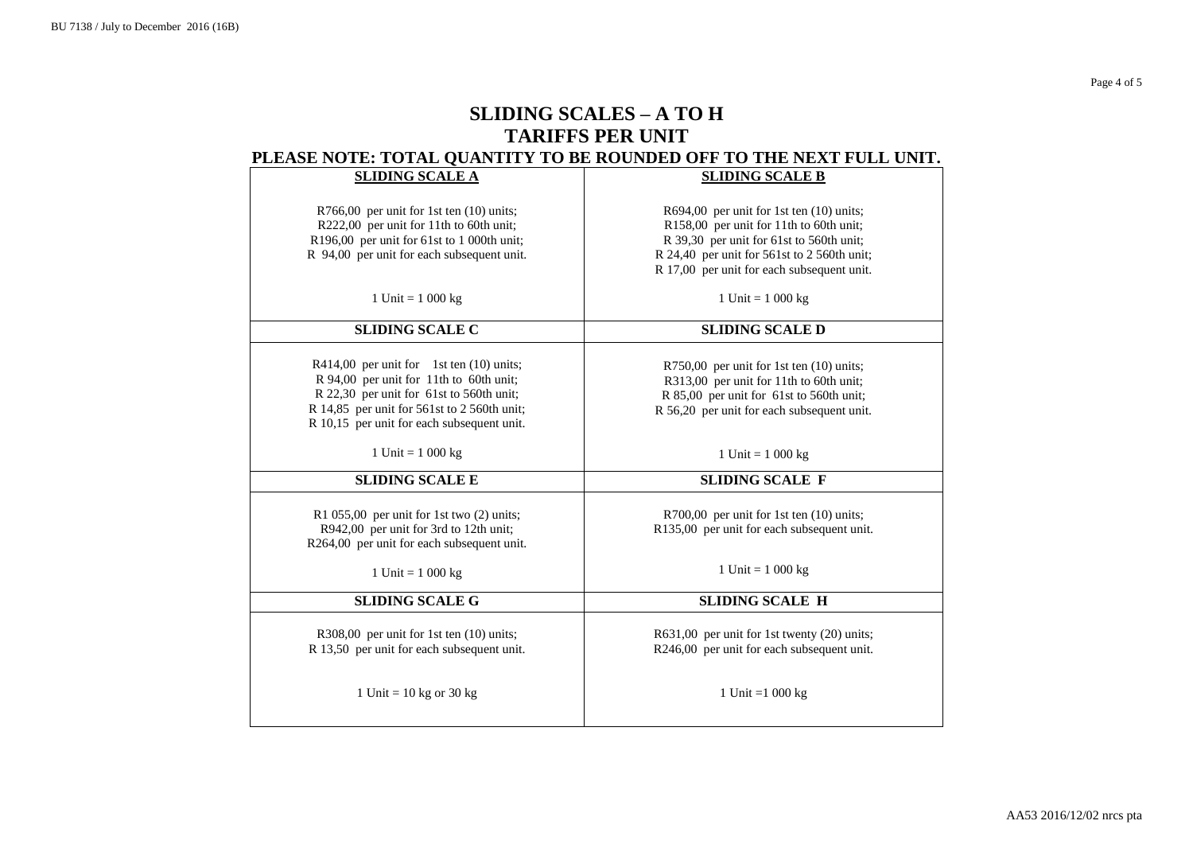Page 4 of 5

# **SLIDING SCALES – A TO H TARIFFS PER UNIT PLEASE NOTE: TOTAL QUANTITY TO BE ROUNDED OFF TO THE NEXT FULL UNIT.**

|                                              | English form you all to be not able off to the next following |
|----------------------------------------------|---------------------------------------------------------------|
| <b>SLIDING SCALE A</b>                       | <b>SLIDING SCALE B</b>                                        |
|                                              |                                                               |
| R766,00 per unit for 1st ten $(10)$ units;   | R694,00 per unit for 1st ten $(10)$ units;                    |
| R222,00 per unit for 11th to 60th unit;      | R158,00 per unit for 11th to 60th unit;                       |
| R196,00 per unit for 61st to 1 000th unit;   | R 39,30 per unit for 61st to 560th unit;                      |
| R 94,00 per unit for each subsequent unit.   | R 24,40 per unit for 561st to 2 560th unit;                   |
|                                              | R 17,00 per unit for each subsequent unit.                    |
|                                              |                                                               |
| 1 Unit = $1000 \text{ kg}$                   | 1 Unit = $1000 kg$                                            |
|                                              |                                                               |
| <b>SLIDING SCALE C</b>                       | <b>SLIDING SCALE D</b>                                        |
|                                              |                                                               |
| $R414,00$ per unit for 1st ten $(10)$ units; | $R750,00$ per unit for 1st ten $(10)$ units;                  |
| R 94,00 per unit for 11th to 60th unit;      | R313,00 per unit for 11th to 60th unit;                       |
| R 22,30 per unit for 61st to 560th unit;     | R 85,00 per unit for 61st to 560th unit;                      |
| R 14,85 per unit for 561st to 2 560th unit;  | R 56,20 per unit for each subsequent unit.                    |
| R 10,15 per unit for each subsequent unit.   |                                                               |
|                                              |                                                               |
| 1 Unit = $1000 \text{ kg}$                   | 1 Unit = $1000 kg$                                            |
| <b>SLIDING SCALE E</b>                       | <b>SLIDING SCALE F</b>                                        |
|                                              |                                                               |
| R1 055,00 per unit for 1st two $(2)$ units;  | R700,00 per unit for 1st ten (10) units;                      |
| R942,00 per unit for 3rd to 12th unit;       | R135,00 per unit for each subsequent unit.                    |
| R264,00 per unit for each subsequent unit.   |                                                               |
|                                              | 1 Unit = $1\ 000\ kg$                                         |
| 1 Unit = $1000 kg$                           |                                                               |
| <b>SLIDING SCALE G</b>                       | <b>SLIDING SCALE H</b>                                        |
|                                              |                                                               |
| R308,00 per unit for 1st ten (10) units;     | R631,00 per unit for 1st twenty (20) units;                   |
| R 13,50 per unit for each subsequent unit.   | R246,00 per unit for each subsequent unit.                    |
|                                              |                                                               |
|                                              |                                                               |
| 1 Unit = $10$ kg or $30$ kg                  | 1 Unit = $1000 \text{ kg}$                                    |
|                                              |                                                               |
|                                              |                                                               |